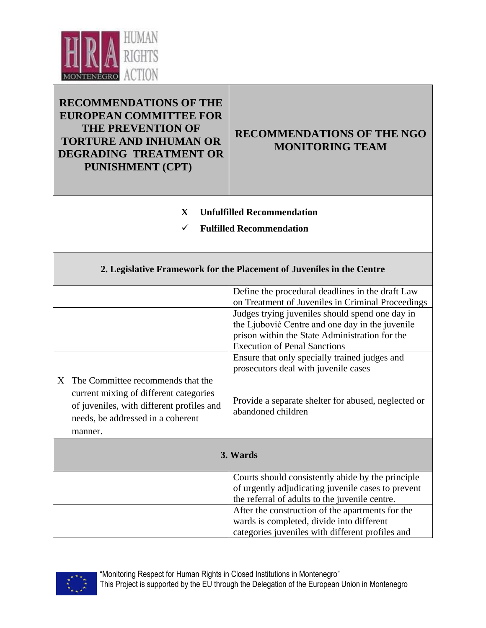

## **RECOMMENDATIONS OF THE EUROPEAN COMMITTEE FOR THE PREVENTION OF TORTURE AND INHUMAN OR DEGRADING TREATMENT OR PUNISHMENT (CPT)**

## **RECOMMENDATIONS OF THE NGO MONITORING TEAM**

eu de la component de la component de la component de la component de la component de la component de la compo<br>Europa de la component de la component de la component de la component de la component de la component de la c

- **X Unfulfilled Recommendation**
- **Fulfilled Recommendation**

## **2. Legislative Framework for the Placement of Juveniles in the Centre**

|          |                                                                                                                                                                            | Define the procedural deadlines in the draft Law<br>on Treatment of Juveniles in Criminal Proceedings<br>Judges trying juveniles should spend one day in<br>the Ljubović Centre and one day in the juvenile<br>prison within the State Administration for the<br><b>Execution of Penal Sanctions</b> |
|----------|----------------------------------------------------------------------------------------------------------------------------------------------------------------------------|------------------------------------------------------------------------------------------------------------------------------------------------------------------------------------------------------------------------------------------------------------------------------------------------------|
|          |                                                                                                                                                                            | Ensure that only specially trained judges and<br>prosecutors deal with juvenile cases                                                                                                                                                                                                                |
|          | X The Committee recommends that the<br>current mixing of different categories<br>of juveniles, with different profiles and<br>needs, be addressed in a coherent<br>manner. | Provide a separate shelter for abused, neglected or<br>abandoned children                                                                                                                                                                                                                            |
| 3. Wards |                                                                                                                                                                            |                                                                                                                                                                                                                                                                                                      |
|          |                                                                                                                                                                            | Courts should consistently abide by the principle<br>of urgently adjudicating juvenile cases to prevent<br>the referral of adults to the juvenile centre.                                                                                                                                            |
|          |                                                                                                                                                                            | After the construction of the apartments for the<br>wards is completed, divide into different<br>categories juveniles with different profiles and                                                                                                                                                    |

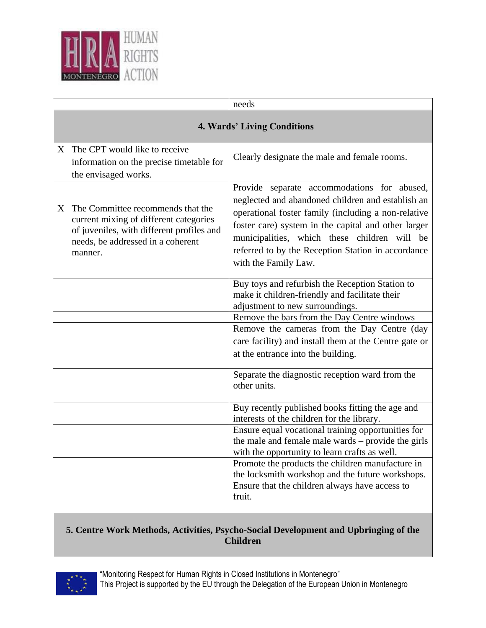

|    |                                                                                                                                                                          | needs                                                                                                                                                                                                                                                                                                                                        |  |
|----|--------------------------------------------------------------------------------------------------------------------------------------------------------------------------|----------------------------------------------------------------------------------------------------------------------------------------------------------------------------------------------------------------------------------------------------------------------------------------------------------------------------------------------|--|
|    | <b>4. Wards' Living Conditions</b>                                                                                                                                       |                                                                                                                                                                                                                                                                                                                                              |  |
|    | X The CPT would like to receive<br>information on the precise timetable for<br>the envisaged works.                                                                      | Clearly designate the male and female rooms.                                                                                                                                                                                                                                                                                                 |  |
| X. | The Committee recommends that the<br>current mixing of different categories<br>of juveniles, with different profiles and<br>needs, be addressed in a coherent<br>manner. | Provide separate accommodations for abused,<br>neglected and abandoned children and establish an<br>operational foster family (including a non-relative<br>foster care) system in the capital and other larger<br>municipalities, which these children will be<br>referred to by the Reception Station in accordance<br>with the Family Law. |  |
|    |                                                                                                                                                                          | Buy toys and refurbish the Reception Station to<br>make it children-friendly and facilitate their<br>adjustment to new surroundings.                                                                                                                                                                                                         |  |
|    |                                                                                                                                                                          | Remove the bars from the Day Centre windows                                                                                                                                                                                                                                                                                                  |  |
|    |                                                                                                                                                                          | Remove the cameras from the Day Centre (day                                                                                                                                                                                                                                                                                                  |  |
|    |                                                                                                                                                                          | care facility) and install them at the Centre gate or<br>at the entrance into the building.                                                                                                                                                                                                                                                  |  |
|    |                                                                                                                                                                          | Separate the diagnostic reception ward from the<br>other units.                                                                                                                                                                                                                                                                              |  |
|    |                                                                                                                                                                          | Buy recently published books fitting the age and<br>interests of the children for the library.                                                                                                                                                                                                                                               |  |
|    |                                                                                                                                                                          | Ensure equal vocational training opportunities for<br>the male and female male wards – provide the girls<br>with the opportunity to learn crafts as well.                                                                                                                                                                                    |  |
|    |                                                                                                                                                                          | Promote the products the children manufacture in<br>the locksmith workshop and the future workshops.                                                                                                                                                                                                                                         |  |
|    |                                                                                                                                                                          | Ensure that the children always have access to<br>fruit.                                                                                                                                                                                                                                                                                     |  |

## **5. Centre Work Methods, Activities, Psycho-Social Development and Upbringing of the Children**

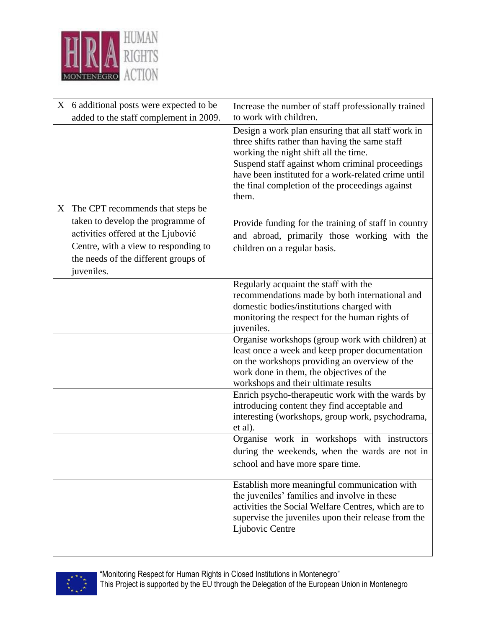

| X 6 additional posts were expected to be<br>added to the staff complement in 2009.                                                                                                                          | Increase the number of staff professionally trained<br>to work with children.                                                                                                                                                            |
|-------------------------------------------------------------------------------------------------------------------------------------------------------------------------------------------------------------|------------------------------------------------------------------------------------------------------------------------------------------------------------------------------------------------------------------------------------------|
|                                                                                                                                                                                                             | Design a work plan ensuring that all staff work in<br>three shifts rather than having the same staff<br>working the night shift all the time.                                                                                            |
|                                                                                                                                                                                                             | Suspend staff against whom criminal proceedings<br>have been instituted for a work-related crime until<br>the final completion of the proceedings against<br>them.                                                                       |
| X The CPT recommends that steps be<br>taken to develop the programme of<br>activities offered at the Ljubović<br>Centre, with a view to responding to<br>the needs of the different groups of<br>juveniles. | Provide funding for the training of staff in country<br>and abroad, primarily those working with the<br>children on a regular basis.                                                                                                     |
|                                                                                                                                                                                                             | Regularly acquaint the staff with the<br>recommendations made by both international and<br>domestic bodies/institutions charged with<br>monitoring the respect for the human rights of<br>juveniles.                                     |
|                                                                                                                                                                                                             | Organise workshops (group work with children) at<br>least once a week and keep proper documentation<br>on the workshops providing an overview of the<br>work done in them, the objectives of the<br>workshops and their ultimate results |
|                                                                                                                                                                                                             | Enrich psycho-therapeutic work with the wards by<br>introducing content they find acceptable and<br>interesting (workshops, group work, psychodrama,<br>et al).                                                                          |
|                                                                                                                                                                                                             | Organise work in workshops with instructors<br>during the weekends, when the wards are not in<br>school and have more spare time.                                                                                                        |
|                                                                                                                                                                                                             | Establish more meaningful communication with<br>the juveniles' families and involve in these<br>activities the Social Welfare Centres, which are to<br>supervise the juveniles upon their release from the<br>Ljubovic Centre            |

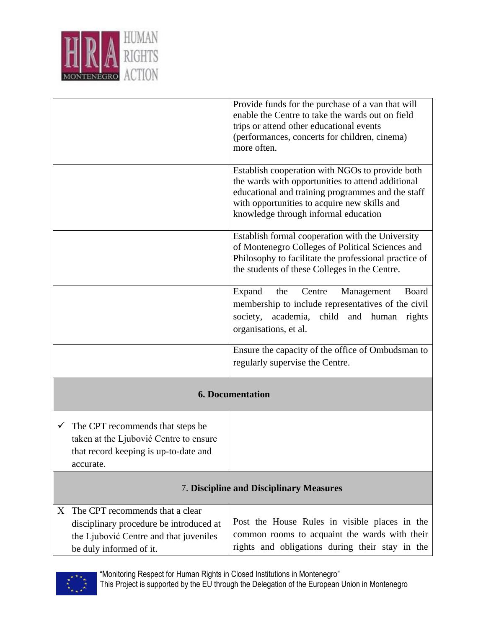

|                                                                                                                                                      | Provide funds for the purchase of a van that will<br>enable the Centre to take the wards out on field<br>trips or attend other educational events<br>(performances, concerts for children, cinema)<br>more often.                                 |  |
|------------------------------------------------------------------------------------------------------------------------------------------------------|---------------------------------------------------------------------------------------------------------------------------------------------------------------------------------------------------------------------------------------------------|--|
|                                                                                                                                                      | Establish cooperation with NGOs to provide both<br>the wards with opportunities to attend additional<br>educational and training programmes and the staff<br>with opportunities to acquire new skills and<br>knowledge through informal education |  |
|                                                                                                                                                      | Establish formal cooperation with the University<br>of Montenegro Colleges of Political Sciences and<br>Philosophy to facilitate the professional practice of<br>the students of these Colleges in the Centre.                                    |  |
|                                                                                                                                                      | Expand<br>Centre<br>Management<br>Board<br>the<br>membership to include representatives of the civil<br>society, academia, child and human<br>rights<br>organisations, et al.                                                                     |  |
|                                                                                                                                                      | Ensure the capacity of the office of Ombudsman to<br>regularly supervise the Centre.                                                                                                                                                              |  |
| <b>6. Documentation</b>                                                                                                                              |                                                                                                                                                                                                                                                   |  |
| The CPT recommends that steps be<br>$\checkmark$<br>taken at the Ljubović Centre to ensure<br>that record keeping is up-to-date and<br>accurate.     |                                                                                                                                                                                                                                                   |  |
| <b>7. Discipline and Disciplinary Measures</b>                                                                                                       |                                                                                                                                                                                                                                                   |  |
| The CPT recommends that a clear<br>X<br>disciplinary procedure be introduced at<br>the Ljubović Centre and that juveniles<br>be duly informed of it. | Post the House Rules in visible places in the<br>common rooms to acquaint the wards with their<br>rights and obligations during their stay in the                                                                                                 |  |



"Monitoring Respect for Human Rights in Closed Institutions in Montenegro" This Project is supported by the EU through the Delegation of the European Union in Montenegro